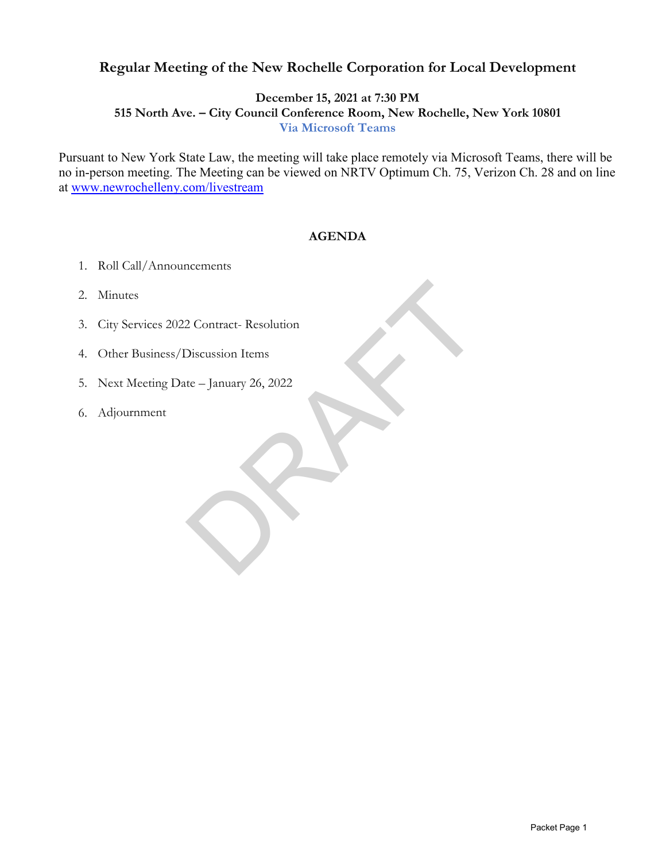# **Regular Meeting of the New Rochelle Corporation for Local Development**

**December 15, 2021 at 7:30 PM 515 North Ave. – City Council Conference Room, New Rochelle, New York 10801 Via Microsoft Teams**

Pursuant to New York State Law, the meeting will take place remotely via Microsoft Teams, there will be no in-person meeting. The Meeting can be viewed on NRTV Optimum Ch. 75, Verizon Ch. 28 and on line at [www.newrochelleny.com/livestream](http://www.newrochelleny.com/livestream)

## **AGENDA**

- 1. Roll Call/Announcements
- 2. Minutes
- 3. City Services 2022 Contract- Resolution 2 Contract-Resolution<br>Discussion Items<br>te – January 26, 2022<br>Packet Page 1
- 4. Other Business/Discussion Items
- 5. Next Meeting Date January 26, 2022
- 6. Adjournment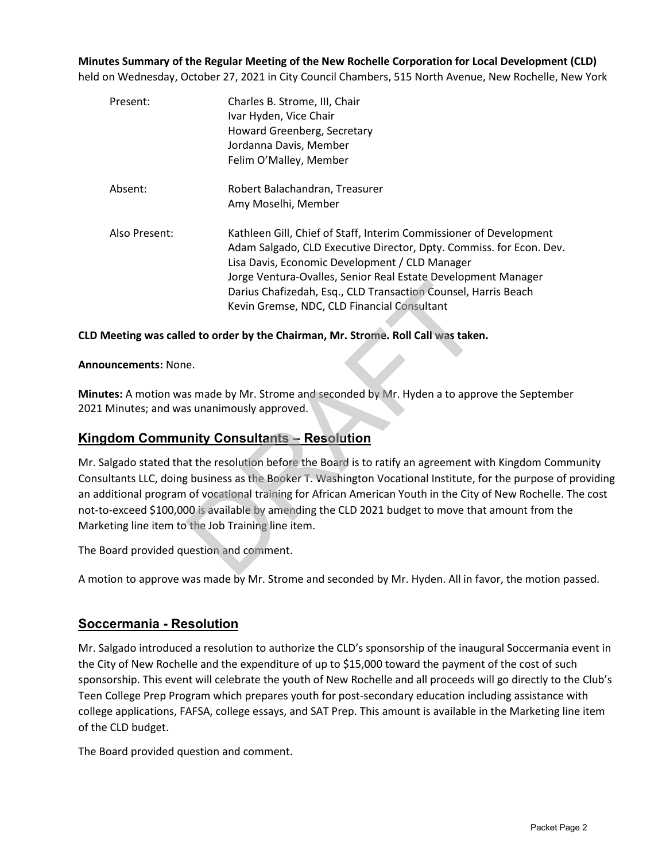**Minutes Summary of the Regular Meeting of the New Rochelle Corporation for Local Development (CLD)** held on Wednesday, October 27, 2021 in City Council Chambers, 515 North Avenue, New Rochelle, New York

| Present:      | Charles B. Strome, III, Chair<br>Ivar Hyden, Vice Chair<br>Howard Greenberg, Secretary<br>Jordanna Davis, Member<br>Felim O'Malley, Member                                                                                                                                                                                                                                    |
|---------------|-------------------------------------------------------------------------------------------------------------------------------------------------------------------------------------------------------------------------------------------------------------------------------------------------------------------------------------------------------------------------------|
| Absent:       | Robert Balachandran, Treasurer<br>Amy Moselhi, Member                                                                                                                                                                                                                                                                                                                         |
| Also Present: | Kathleen Gill, Chief of Staff, Interim Commissioner of Development<br>Adam Salgado, CLD Executive Director, Dpty. Commiss. for Econ. Dev.<br>Lisa Davis, Economic Development / CLD Manager<br>Jorge Ventura-Ovalles, Senior Real Estate Development Manager<br>Darius Chafizedah, Esq., CLD Transaction Counsel, Harris Beach<br>Kevin Gremse, NDC, CLD Financial Consultant |

**CLD Meeting was called to order by the Chairman, Mr. Strome. Roll Call was taken.** 

#### **Announcements:** None.

**Minutes:** A motion was made by Mr. Strome and seconded by Mr. Hyden a to approve the September 2021 Minutes; and was unanimously approved.

### **Kingdom Community Consultants – Resolution**

Mr. Salgado stated that the resolution before the Board is to ratify an agreement with Kingdom Community Consultants LLC, doing business as the Booker T. Washington Vocational Institute, for the purpose of providing an additional program of vocational training for African American Youth in the City of New Rochelle. The cost not-to-exceed \$100,000 is available by amending the CLD 2021 budget to move that amount from the Marketing line item to the Job Training line item.

The Board provided question and comment.

A motion to approve was made by Mr. Strome and seconded by Mr. Hyden. All in favor, the motion passed.

#### **Soccermania - Resolution**

Mr. Salgado introduced a resolution to authorize the CLD's sponsorship of the inaugural Soccermania event in the City of New Rochelle and the expenditure of up to \$15,000 toward the payment of the cost of such sponsorship. This event will celebrate the youth of New Rochelle and all proceeds will go directly to the Club's Teen College Prep Program which prepares youth for post-secondary education including assistance with college applications, FAFSA, college essays, and SAT Prep. This amount is available in the Marketing line item of the CLD budget. many characterized method, but Transaction Counsel, Harris Beach<br>
Darius Charizedah, Esq., CLD Transaction Counsel, Harris Beach<br>
Kevin Gremse, NDC, CLD Financial Consultant<br>
Red to order by the Chairman, Mr. Strome. Roll

The Board provided question and comment.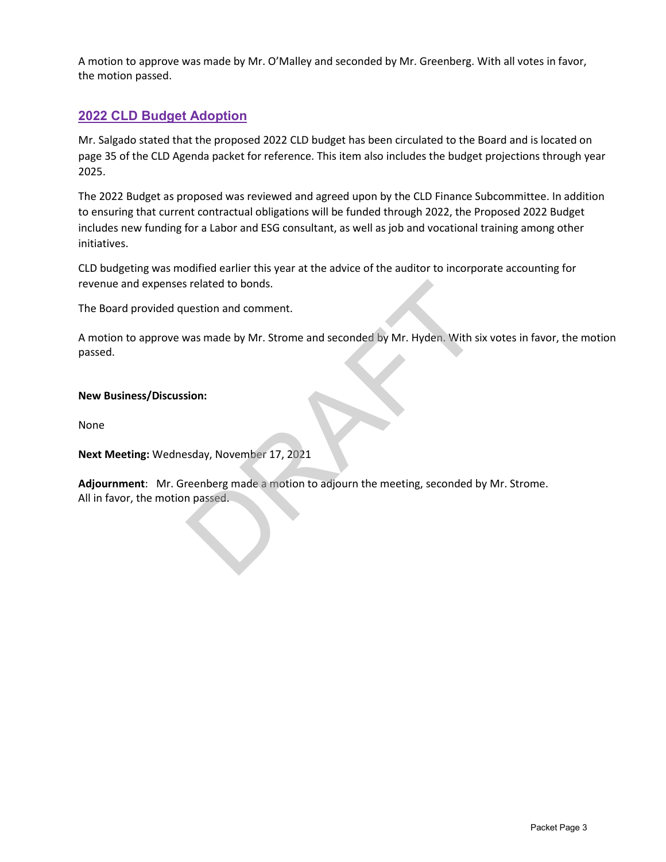A motion to approve was made by Mr. O'Malley and seconded by Mr. Greenberg. With all votes in favor, the motion passed.

## **2022 CLD Budget Adoption**

Mr. Salgado stated that the proposed 2022 CLD budget has been circulated to the Board and is located on page 35 of the CLD Agenda packet for reference. This item also includes the budget projections through year 2025.

The 2022 Budget as proposed was reviewed and agreed upon by the CLD Finance Subcommittee. In addition to ensuring that current contractual obligations will be funded through 2022, the Proposed 2022 Budget includes new funding for a Labor and ESG consultant, as well as job and vocational training among other initiatives.

CLD budgeting was modified earlier this year at the advice of the auditor to incorporate accounting for revenue and expenses related to bonds.

The Board provided question and comment.

A motion to approve was made by Mr. Strome and seconded by Mr. Hyden. With six votes in favor, the motion passed. related to bonds.<br>
vas made by Mr. Strome and seconded by Mr. Hyden. With six votes in favor, the m<br>
stay, November 17, 2021<br>
renderg made a motion to adjourn the meeting, seconded by Mr. Strome.<br>
passed.<br>
Packet Page 3

**New Business/Discussion:** 

None

**Next Meeting:** Wednesday, November 17, 2021

**Adjournment**: Mr. Greenberg made a motion to adjourn the meeting, seconded by Mr. Strome. All in favor, the motion passed.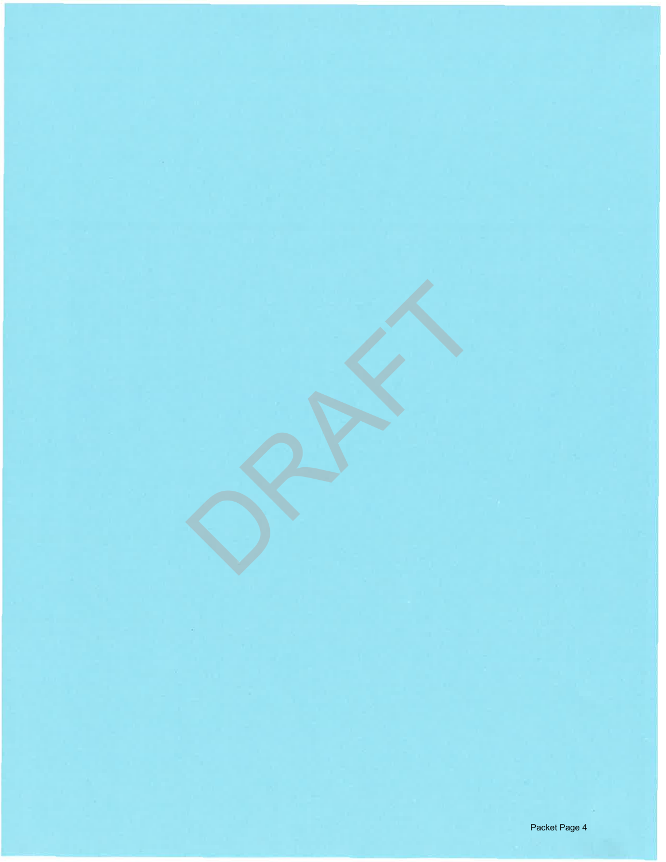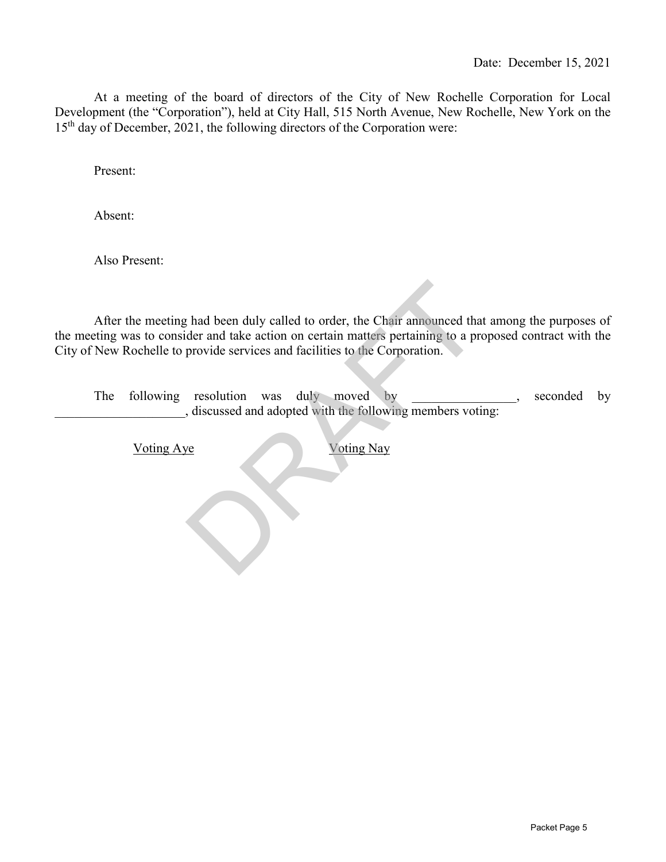At a meeting of the board of directors of the City of New Rochelle Corporation for Local Development (the "Corporation"), held at City Hall, 515 North Avenue, New Rochelle, New York on the 15<sup>th</sup> day of December, 2021, the following directors of the Corporation were:

Present:

Absent:

Also Present:

After the meeting had been duly called to order, the Chair announced that among the purposes of the meeting was to consider and take action on certain matters pertaining to a proposed contract with the City of New Rochelle to provide services and facilities to the Corporation. Frankel Backet Page 5 Packet Page 5 Packet Page 6<br>
Report and take action on certain matters pertaining to a proposed contract with<br>
provide services and facilities to the Corporation.<br>
The Corporation countries we reconde

The following resolution was duly moved by , seconded by \_\_\_\_\_\_\_\_\_\_\_\_\_\_\_\_\_\_\_\_, discussed and adopted with the following members voting:

Voting Aye Voting Nay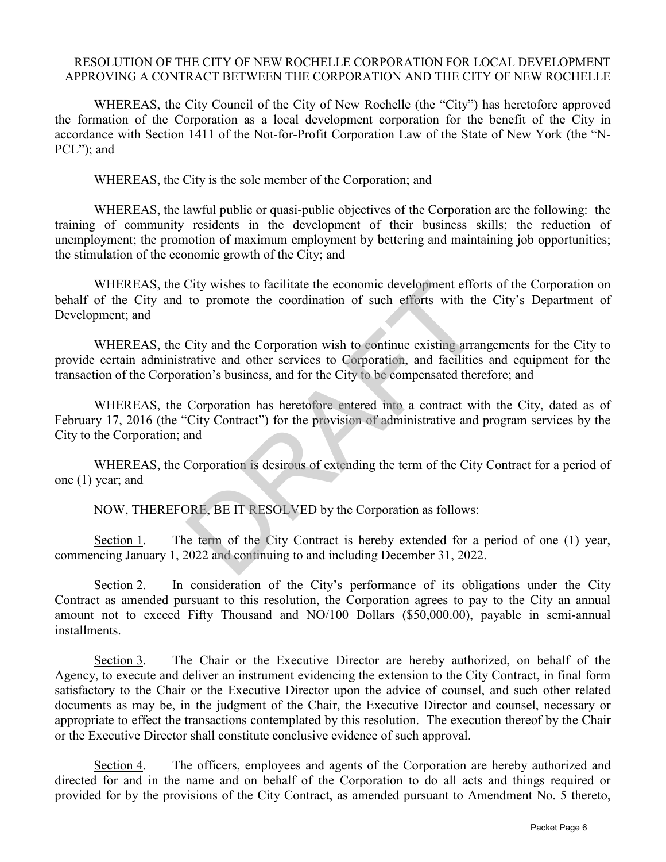#### RESOLUTION OF THE CITY OF NEW ROCHELLE CORPORATION FOR LOCAL DEVELOPMENT APPROVING A CONTRACT BETWEEN THE CORPORATION AND THE CITY OF NEW ROCHELLE

WHEREAS, the City Council of the City of New Rochelle (the "City") has heretofore approved the formation of the Corporation as a local development corporation for the benefit of the City in accordance with Section 1411 of the Not-for-Profit Corporation Law of the State of New York (the "N-PCL"); and

WHEREAS, the City is the sole member of the Corporation; and

WHEREAS, the lawful public or quasi-public objectives of the Corporation are the following: the training of community residents in the development of their business skills; the reduction of unemployment; the promotion of maximum employment by bettering and maintaining job opportunities; the stimulation of the economic growth of the City; and

WHEREAS, the City wishes to facilitate the economic development efforts of the Corporation on behalf of the City and to promote the coordination of such efforts with the City's Department of Development; and

WHEREAS, the City and the Corporation wish to continue existing arrangements for the City to provide certain administrative and other services to Corporation, and facilities and equipment for the transaction of the Corporation's business, and for the City to be compensated therefore; and

WHEREAS, the Corporation has heretofore entered into a contract with the City, dated as of February 17, 2016 (the "City Contract") for the provision of administrative and program services by the City to the Corporation; and

WHEREAS, the Corporation is desirous of extending the term of the City Contract for a period of one (1) year; and

NOW, THEREFORE, BE IT RESOLVED by the Corporation as follows:

Section 1. The term of the City Contract is hereby extended for a period of one (1) year, commencing January 1, 2022 and continuing to and including December 31, 2022.

Section 2. In consideration of the City's performance of its obligations under the City Contract as amended pursuant to this resolution, the Corporation agrees to pay to the City an annual amount not to exceed Fifty Thousand and NO/100 Dollars (\$50,000.00), payable in semi-annual installments.

Section 3. The Chair or the Executive Director are hereby authorized, on behalf of the Agency, to execute and deliver an instrument evidencing the extension to the City Contract, in final form satisfactory to the Chair or the Executive Director upon the advice of counsel, and such other related documents as may be, in the judgment of the Chair, the Executive Director and counsel, necessary or appropriate to effect the transactions contemplated by this resolution. The execution thereof by the Chair or the Executive Director shall constitute conclusive evidence of such approval. City wishes to facilitate the comomic development efforts of the Corporatio<br>to promote the coordination of such efforts with the City's Departmer<br>critive and other sevices to Corporation, and facilities and gauginment for

Section 4. The officers, employees and agents of the Corporation are hereby authorized and directed for and in the name and on behalf of the Corporation to do all acts and things required or provided for by the provisions of the City Contract, as amended pursuant to Amendment No. 5 thereto,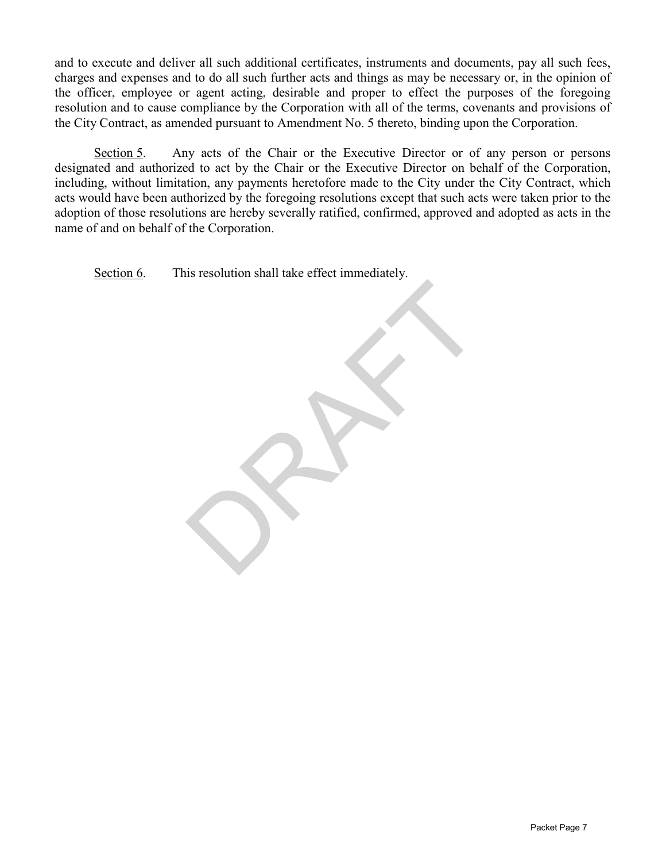and to execute and deliver all such additional certificates, instruments and documents, pay all such fees, charges and expenses and to do all such further acts and things as may be necessary or, in the opinion of the officer, employee or agent acting, desirable and proper to effect the purposes of the foregoing resolution and to cause compliance by the Corporation with all of the terms, covenants and provisions of the City Contract, as amended pursuant to Amendment No. 5 thereto, binding upon the Corporation.

Section 5. Any acts of the Chair or the Executive Director or of any person or persons designated and authorized to act by the Chair or the Executive Director on behalf of the Corporation, including, without limitation, any payments heretofore made to the City under the City Contract, which acts would have been authorized by the foregoing resolutions except that such acts were taken prior to the adoption of those resolutions are hereby severally ratified, confirmed, approved and adopted as acts in the name of and on behalf of the Corporation.

Section 6. This resolution shall take effect immediately.